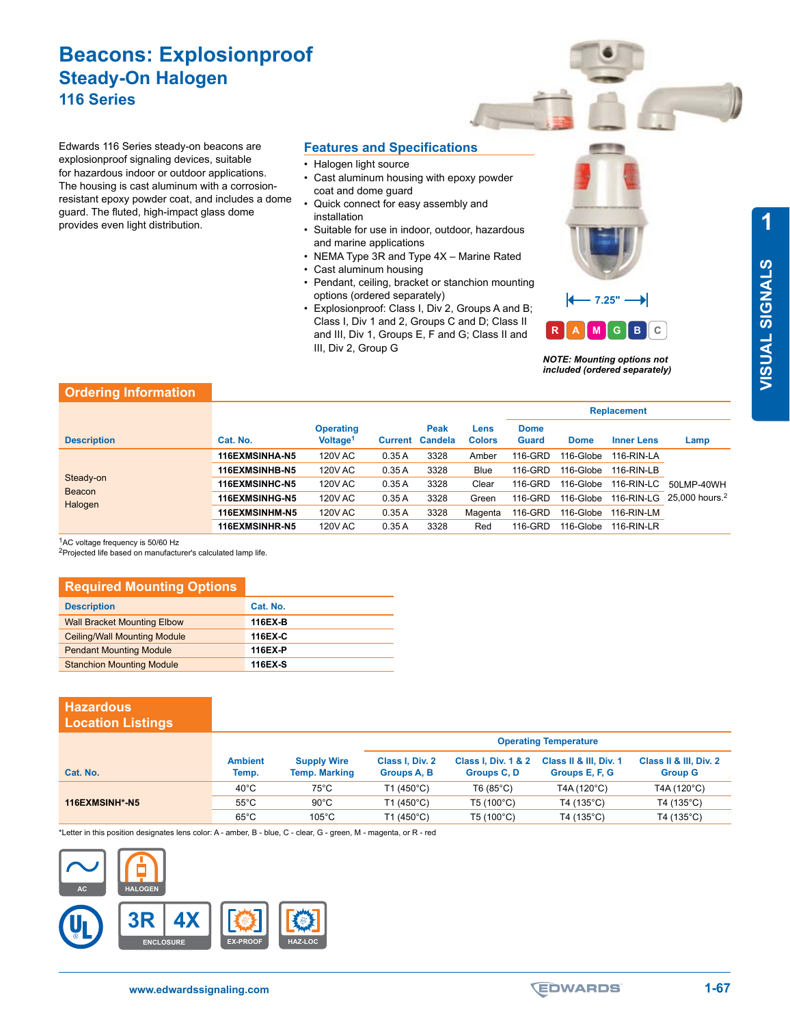# **Beacons: Explosionproof Steady-On Halogen 116 Series**

Edwards 116 Series steady-on beacons are explosionproof signaling devices, suitable for hazardous indoor or outdoor applications. The housing is cast aluminum with a corrosionresistant epoxy powder coat, and includes a dome guard. The fluted, high-impact glass dome provides even light distribution.

#### **Features and Specifications**

- Halogen light source
- Cast aluminum housing with epoxy powder coat and dome guard
- Quick connect for easy assembly and installation
- Suitable for use in indoor, outdoor, hazardous and marine applications
- NEMA Type 3R and Type 4X Marine Rated
- Cast aluminum housing
- Pendant, ceiling, bracket or stanchion mounting options (ordered separately)
- Explosionproof: Class I, Div 2, Groups A and B; Class I, Div 1 and 2, Groups C and D; Class II and III, Div 1, Groups E, F and G; Class II and III, Div 2, Group G



*NOTE: Mounting options not included (ordered separately)*

#### **Ordering Information**

|                                |                       |                                          |         |                        |                       | <b>Replacement</b>          |             |                   |                                       |
|--------------------------------|-----------------------|------------------------------------------|---------|------------------------|-----------------------|-----------------------------|-------------|-------------------|---------------------------------------|
| <b>Description</b>             | Cat. No.              | <b>Operating</b><br>Voltage <sup>1</sup> | Current | Peak<br><b>Candela</b> | Lens<br><b>Colors</b> | <b>Dome</b><br><b>Guard</b> | <b>Dome</b> | <b>Inner Lens</b> | Lamp                                  |
| Steady-on<br>Beacon<br>Halogen | 116EXMSINHA-N5        | <b>120V AC</b>                           | 0.35A   | 3328                   | Amber                 | 116-GRD                     | 116-Globe   | $116$ -RIN-LA     |                                       |
|                                | 116EXMSINHB-N5        | <b>120V AC</b>                           | 0.35A   | 3328                   | <b>Blue</b>           | 116-GRD                     | 116-Globe   | $116$ -RIN-LB     |                                       |
|                                | <b>116EXMSINHC-N5</b> | <b>120V AC</b>                           | 0.35A   | 3328                   | Clear                 | 116-GRD                     | 116-Globe   | 116-RIN-LC        | 50LMP-40WH                            |
|                                | 116EXMSINHG-N5        | <b>120V AC</b>                           | 0.35A   | 3328                   | Green                 | 116-GRD                     | 116-Globe   |                   | 116-RIN-LG 25,000 hours. <sup>2</sup> |
|                                | 116EXMSINHM-N5        | <b>120V AC</b>                           | 0.35A   | 3328                   | Magenta               | 116-GRD                     | 116-Globe   | $116 - RIN-LM$    |                                       |
|                                | 116EXMSINHR-N5        | <b>120V AC</b>                           | 0.35A   | 3328                   | Red                   | 116-GRD                     | 116-Globe   | $116$ -RIN-LR     |                                       |

1AC voltage frequency is 50/60 Hz

2Projected life based on manufacturer's calculated lamp life.

## **Required Mounting Options**

| <b>Description</b>                  | Cat. No. |
|-------------------------------------|----------|
| <b>Wall Bracket Mounting Elbow</b>  | 116EX-B  |
| <b>Ceiling/Wall Mounting Module</b> | 116EX-C  |
| <b>Pendant Mounting Module</b>      | 116EX-P  |
| <b>Stanchion Mounting Module</b>    | 116EX-S  |

#### **Hazardous Location Listings**

|                |                         |                                            | <b>Operating Temperature</b>   |                                               |                                          |                                          |  |
|----------------|-------------------------|--------------------------------------------|--------------------------------|-----------------------------------------------|------------------------------------------|------------------------------------------|--|
| Cat. No.       | <b>Ambient</b><br>Temp. | <b>Supply Wire</b><br><b>Temp. Marking</b> | Class I, Div. 2<br>Groups A, B | <b>Class I, Div. 1 &amp; 2</b><br>Groups C, D | Class II & III, Div. 1<br>Groups E, F, G | Class II & III, Div. 2<br><b>Group G</b> |  |
|                | $40^{\circ}$ C          | 75°C                                       | T1 (450°C)                     | T6 (85°C)                                     | T4A (120°C)                              | T4A (120°C)                              |  |
| 116EXMSINH*-N5 | $55^{\circ}$ C          | $90^{\circ}$ C                             | T1 (450°C)                     | $T5(100^{\circ}C)$                            | T4 (135°C)                               | T4 (135°C)                               |  |
|                | $65^{\circ}$ C          | $105^{\circ}$ C                            | T1 (450°C)                     | $T5(100^{\circ}C)$                            | $T4(135^{\circ}C)$                       | T4 (135°C)                               |  |

\*Letter in this position designates lens color: A - amber, B - blue, C - clear, G - green, M - magenta, or R - red